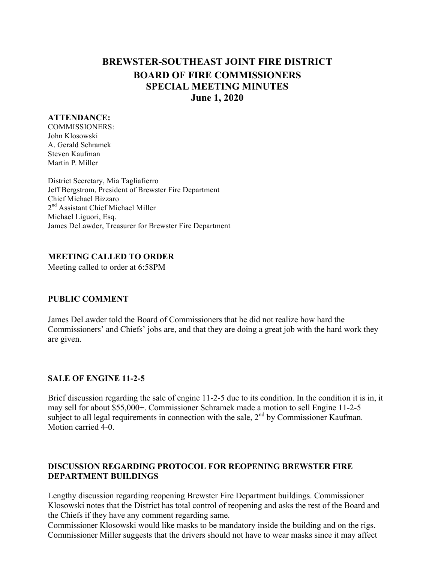# **BREWSTER-SOUTHEAST JOINT FIRE DISTRICT BOARD OF FIRE COMMISSIONERS SPECIAL MEETING MINUTES June 1, 2020**

#### **ATTENDANCE:**

COMMISSIONERS: John Klosowski A. Gerald Schramek Steven Kaufman Martin P. Miller

District Secretary, Mia Tagliafierro Jeff Bergstrom, President of Brewster Fire Department Chief Michael Bizzaro 2<sup>nd</sup> Assistant Chief Michael Miller Michael Liguori, Esq. James DeLawder, Treasurer for Brewster Fire Department

#### **MEETING CALLED TO ORDER**

Meeting called to order at 6:58PM

## **PUBLIC COMMENT**

James DeLawder told the Board of Commissioners that he did not realize how hard the Commissioners' and Chiefs' jobs are, and that they are doing a great job with the hard work they are given.

## **SALE OF ENGINE 11-2-5**

Brief discussion regarding the sale of engine 11-2-5 due to its condition. In the condition it is in, it may sell for about \$55,000+. Commissioner Schramek made a motion to sell Engine 11-2-5 subject to all legal requirements in connection with the sale,  $2<sup>nd</sup>$  by Commissioner Kaufman. Motion carried 4-0.

#### **DISCUSSION REGARDING PROTOCOL FOR REOPENING BREWSTER FIRE DEPARTMENT BUILDINGS**

Lengthy discussion regarding reopening Brewster Fire Department buildings. Commissioner Klosowski notes that the District has total control of reopening and asks the rest of the Board and the Chiefs if they have any comment regarding same.

Commissioner Klosowski would like masks to be mandatory inside the building and on the rigs. Commissioner Miller suggests that the drivers should not have to wear masks since it may affect